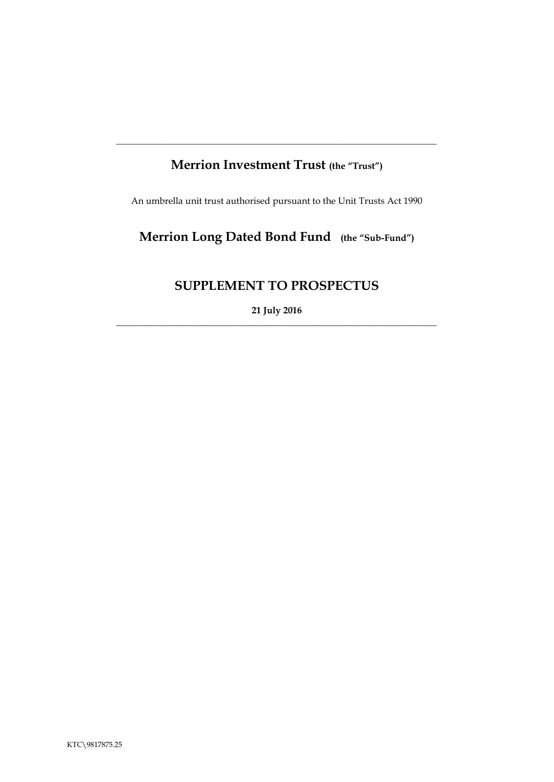# **Merrion Investment Trust (the "Trust")**

**\_\_\_\_\_\_\_\_\_\_\_\_\_\_\_\_\_\_\_\_\_\_\_\_\_\_\_\_\_\_\_\_\_\_\_\_\_\_\_\_\_\_\_\_\_\_\_\_\_\_\_\_\_\_\_\_\_\_\_\_\_\_\_\_\_\_\_\_\_**

An umbrella unit trust authorised pursuant to the Unit Trusts Act 1990

# **Merrion Long Dated Bond Fund (the "Sub-Fund")**

## **SUPPLEMENT TO PROSPECTUS**

**21 July 2016** \_\_\_\_\_\_\_\_\_\_\_\_\_\_\_\_\_\_\_\_\_\_\_\_\_\_\_\_\_\_\_\_\_\_\_\_\_\_\_\_\_\_\_\_\_\_\_\_\_\_\_\_\_\_\_\_\_\_\_\_\_\_\_\_\_\_\_\_\_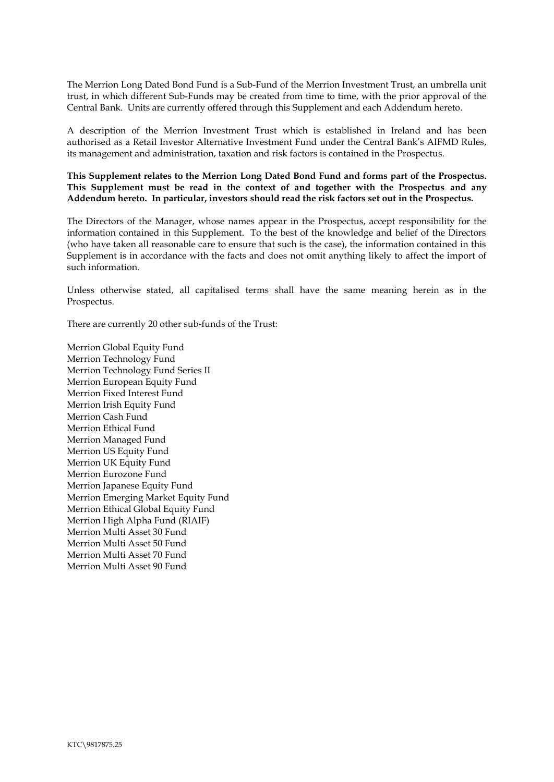The Merrion Long Dated Bond Fund is a Sub-Fund of the Merrion Investment Trust, an umbrella unit trust, in which different Sub-Funds may be created from time to time, with the prior approval of the Central Bank. Units are currently offered through this Supplement and each Addendum hereto.

A description of the Merrion Investment Trust which is established in Ireland and has been authorised as a Retail Investor Alternative Investment Fund under the Central Bank's AIFMD Rules, its management and administration, taxation and risk factors is contained in the Prospectus.

**This Supplement relates to the Merrion Long Dated Bond Fund and forms part of the Prospectus. This Supplement must be read in the context of and together with the Prospectus and any Addendum hereto. In particular, investors should read the risk factors set out in the Prospectus.** 

The Directors of the Manager, whose names appear in the Prospectus, accept responsibility for the information contained in this Supplement. To the best of the knowledge and belief of the Directors (who have taken all reasonable care to ensure that such is the case), the information contained in this Supplement is in accordance with the facts and does not omit anything likely to affect the import of such information.

Unless otherwise stated, all capitalised terms shall have the same meaning herein as in the Prospectus.

There are currently 20 other sub-funds of the Trust:

Merrion Global Equity Fund Merrion Technology Fund Merrion Technology Fund Series II Merrion European Equity Fund Merrion Fixed Interest Fund Merrion Irish Equity Fund Merrion Cash Fund Merrion Ethical Fund Merrion Managed Fund Merrion US Equity Fund Merrion UK Equity Fund Merrion Eurozone Fund Merrion Japanese Equity Fund Merrion Emerging Market Equity Fund Merrion Ethical Global Equity Fund Merrion High Alpha Fund (RIAIF) Merrion Multi Asset 30 Fund Merrion Multi Asset 50 Fund Merrion Multi Asset 70 Fund Merrion Multi Asset 90 Fund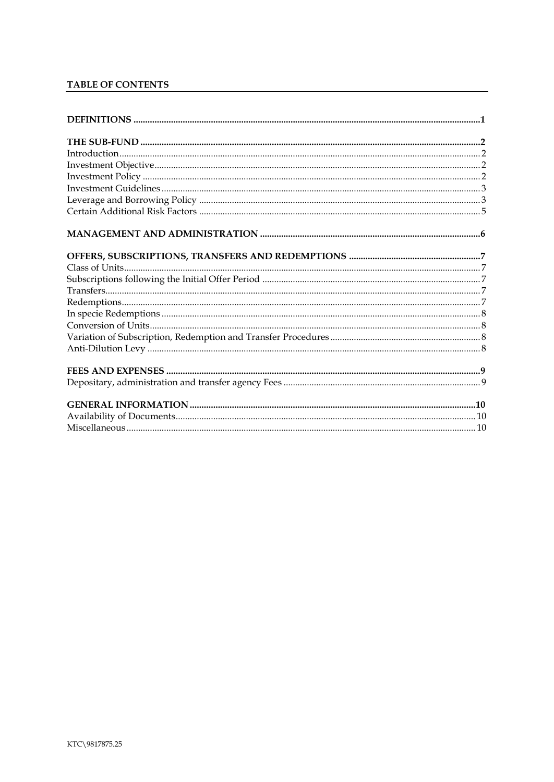## TABLE OF CONTENTS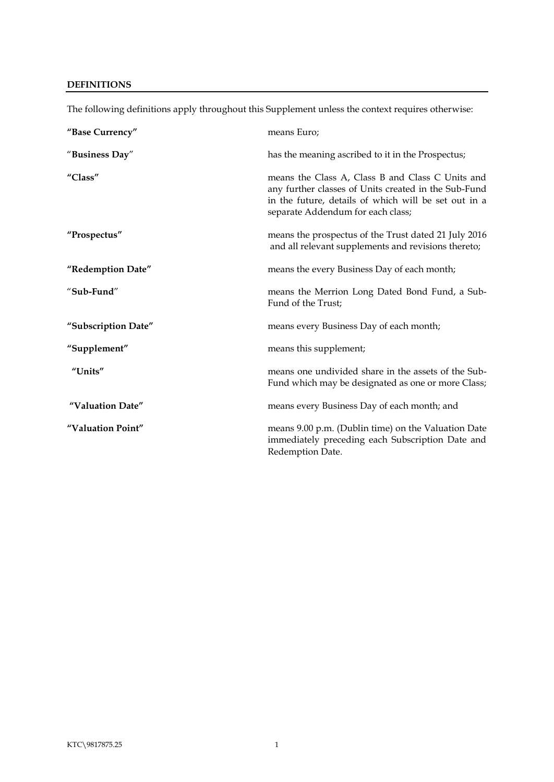## <span id="page-3-0"></span>**DEFINITIONS**

| "Base Currency"     | means Euro;                                                                                                                                                                                           |
|---------------------|-------------------------------------------------------------------------------------------------------------------------------------------------------------------------------------------------------|
| "Business Day"      | has the meaning ascribed to it in the Prospectus;                                                                                                                                                     |
| "Class"             | means the Class A, Class B and Class C Units and<br>any further classes of Units created in the Sub-Fund<br>in the future, details of which will be set out in a<br>separate Addendum for each class; |
| "Prospectus"        | means the prospectus of the Trust dated 21 July 2016<br>and all relevant supplements and revisions thereto;                                                                                           |
| "Redemption Date"   | means the every Business Day of each month;                                                                                                                                                           |
| "Sub-Fund"          | means the Merrion Long Dated Bond Fund, a Sub-<br>Fund of the Trust;                                                                                                                                  |
| "Subscription Date" | means every Business Day of each month;                                                                                                                                                               |
| "Supplement"        | means this supplement;                                                                                                                                                                                |
| "Units"             | means one undivided share in the assets of the Sub-<br>Fund which may be designated as one or more Class;                                                                                             |
| "Valuation Date"    | means every Business Day of each month; and                                                                                                                                                           |
| "Valuation Point"   | means 9.00 p.m. (Dublin time) on the Valuation Date<br>immediately preceding each Subscription Date and<br>Redemption Date.                                                                           |

The following definitions apply throughout this Supplement unless the context requires otherwise: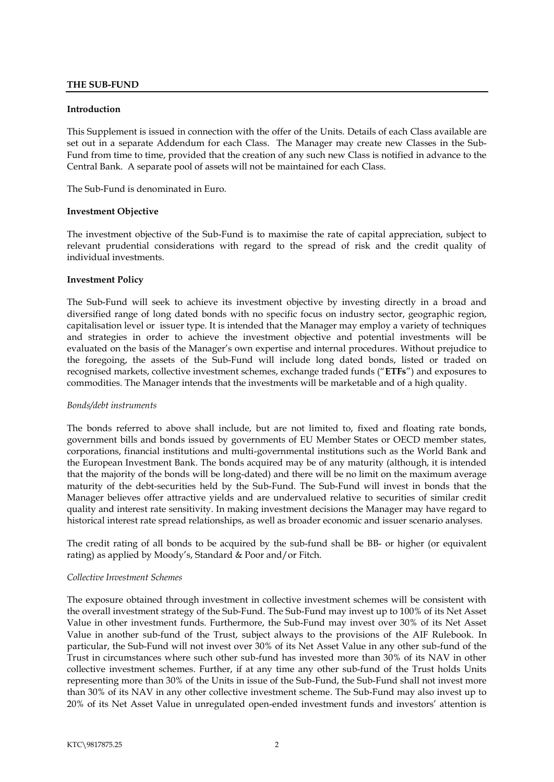#### <span id="page-4-0"></span>**THE SUB-FUND**

#### <span id="page-4-1"></span>**Introduction**

This Supplement is issued in connection with the offer of the Units. Details of each Class available are set out in a separate Addendum for each Class. The Manager may create new Classes in the Sub-Fund from time to time, provided that the creation of any such new Class is notified in advance to the Central Bank. A separate pool of assets will not be maintained for each Class.

The Sub-Fund is denominated in Euro.

#### <span id="page-4-2"></span>**Investment Objective**

The investment objective of the Sub-Fund is to maximise the rate of capital appreciation, subject to relevant prudential considerations with regard to the spread of risk and the credit quality of individual investments.

#### <span id="page-4-3"></span>**Investment Policy**

The Sub-Fund will seek to achieve its investment objective by investing directly in a broad and diversified range of long dated bonds with no specific focus on industry sector, geographic region, capitalisation level or issuer type. It is intended that the Manager may employ a variety of techniques and strategies in order to achieve the investment objective and potential investments will be evaluated on the basis of the Manager's own expertise and internal procedures. Without prejudice to the foregoing, the assets of the Sub-Fund will include long dated bonds, listed or traded on recognised markets, collective investment schemes, exchange traded funds ("**ETFs**") and exposures to commodities. The Manager intends that the investments will be marketable and of a high quality.

#### *Bonds/debt instruments*

The bonds referred to above shall include, but are not limited to, fixed and floating rate bonds, government bills and bonds issued by governments of EU Member States or OECD member states, corporations, financial institutions and multi-governmental institutions such as the World Bank and the European Investment Bank. The bonds acquired may be of any maturity (although, it is intended that the majority of the bonds will be long-dated) and there will be no limit on the maximum average maturity of the debt-securities held by the Sub-Fund. The Sub-Fund will invest in bonds that the Manager believes offer attractive yields and are undervalued relative to securities of similar credit quality and interest rate sensitivity. In making investment decisions the Manager may have regard to historical interest rate spread relationships, as well as broader economic and issuer scenario analyses.

The credit rating of all bonds to be acquired by the sub-fund shall be BB- or higher (or equivalent rating) as applied by Moody's, Standard & Poor and/or Fitch.

#### *Collective Investment Schemes*

The exposure obtained through investment in collective investment schemes will be consistent with the overall investment strategy of the Sub-Fund. The Sub-Fund may invest up to 100% of its Net Asset Value in other investment funds. Furthermore, the Sub-Fund may invest over 30% of its Net Asset Value in another sub-fund of the Trust, subject always to the provisions of the AIF Rulebook. In particular, the Sub-Fund will not invest over 30% of its Net Asset Value in any other sub-fund of the Trust in circumstances where such other sub-fund has invested more than 30% of its NAV in other collective investment schemes. Further, if at any time any other sub-fund of the Trust holds Units representing more than 30% of the Units in issue of the Sub-Fund, the Sub-Fund shall not invest more than 30% of its NAV in any other collective investment scheme. The Sub-Fund may also invest up to 20% of its Net Asset Value in unregulated open-ended investment funds and investors' attention is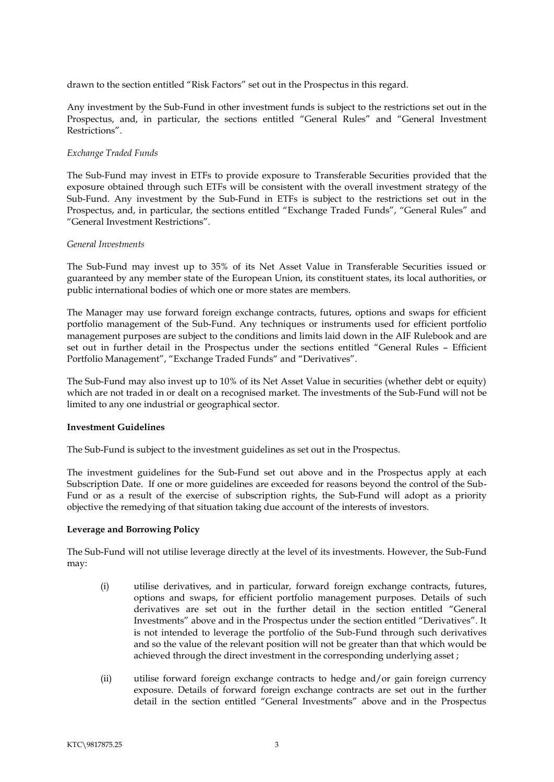drawn to the section entitled "Risk Factors" set out in the Prospectus in this regard.

Any investment by the Sub-Fund in other investment funds is subject to the restrictions set out in the Prospectus, and, in particular, the sections entitled "General Rules" and "General Investment Restrictions".

### *Exchange Traded Funds*

The Sub-Fund may invest in ETFs to provide exposure to Transferable Securities provided that the exposure obtained through such ETFs will be consistent with the overall investment strategy of the Sub-Fund. Any investment by the Sub-Fund in ETFs is subject to the restrictions set out in the Prospectus, and, in particular, the sections entitled "Exchange Traded Funds", "General Rules" and "General Investment Restrictions".

## *General Investments*

The Sub-Fund may invest up to 35% of its Net Asset Value in Transferable Securities issued or guaranteed by any member state of the European Union, its constituent states, its local authorities, or public international bodies of which one or more states are members.

The Manager may use forward foreign exchange contracts, futures, options and swaps for efficient portfolio management of the Sub-Fund. Any techniques or instruments used for efficient portfolio management purposes are subject to the conditions and limits laid down in the AIF Rulebook and are set out in further detail in the Prospectus under the sections entitled "General Rules – Efficient Portfolio Management", "Exchange Traded Funds" and "Derivatives".

The Sub-Fund may also invest up to 10% of its Net Asset Value in securities (whether debt or equity) which are not traded in or dealt on a recognised market. The investments of the Sub-Fund will not be limited to any one industrial or geographical sector.

## <span id="page-5-0"></span>**Investment Guidelines**

The Sub-Fund is subject to the investment guidelines as set out in the Prospectus.

The investment guidelines for the Sub-Fund set out above and in the Prospectus apply at each Subscription Date. If one or more guidelines are exceeded for reasons beyond the control of the Sub-Fund or as a result of the exercise of subscription rights, the Sub-Fund will adopt as a priority objective the remedying of that situation taking due account of the interests of investors.

## **Leverage and Borrowing Policy**

The Sub-Fund will not utilise leverage directly at the level of its investments. However, the Sub-Fund may:

- <span id="page-5-1"></span>(i) utilise derivatives, and in particular, forward foreign exchange contracts, futures, options and swaps, for efficient portfolio management purposes. Details of such derivatives are set out in the further detail in the section entitled "General Investments" above and in the Prospectus under the section entitled "Derivatives". It is not intended to leverage the portfolio of the Sub-Fund through such derivatives and so the value of the relevant position will not be greater than that which would be achieved through the direct investment in the corresponding underlying asset ;
- (ii) utilise forward foreign exchange contracts to hedge and/or gain foreign currency exposure. Details of forward foreign exchange contracts are set out in the further detail in the section entitled "General Investments" above and in the Prospectus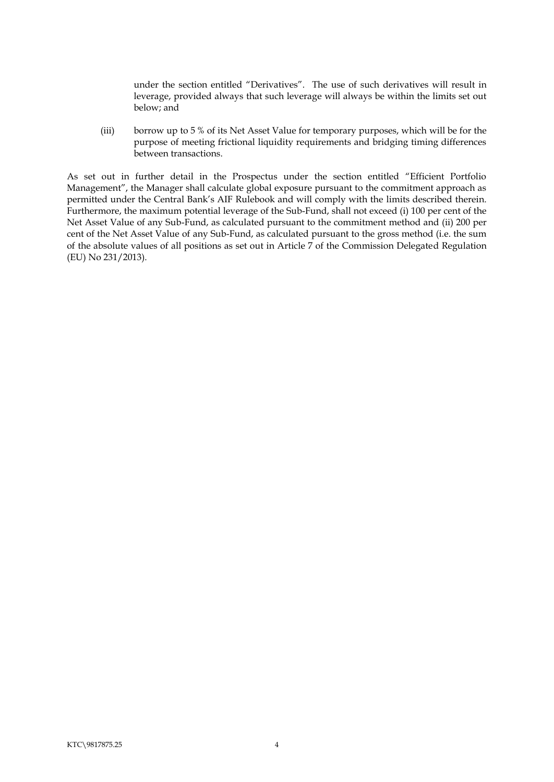under the section entitled "Derivatives". The use of such derivatives will result in leverage, provided always that such leverage will always be within the limits set out below; and

(iii) borrow up to 5 % of its Net Asset Value for temporary purposes, which will be for the purpose of meeting frictional liquidity requirements and bridging timing differences between transactions.

As set out in further detail in the Prospectus under the section entitled "Efficient Portfolio Management", the Manager shall calculate global exposure pursuant to the commitment approach as permitted under the Central Bank's AIF Rulebook and will comply with the limits described therein. Furthermore, the maximum potential leverage of the Sub-Fund, shall not exceed (i) 100 per cent of the Net Asset Value of any Sub-Fund, as calculated pursuant to the commitment method and (ii) 200 per cent of the Net Asset Value of any Sub-Fund, as calculated pursuant to the gross method (i.e. the sum of the absolute values of all positions as set out in Article 7 of the Commission Delegated Regulation (EU) No 231/2013).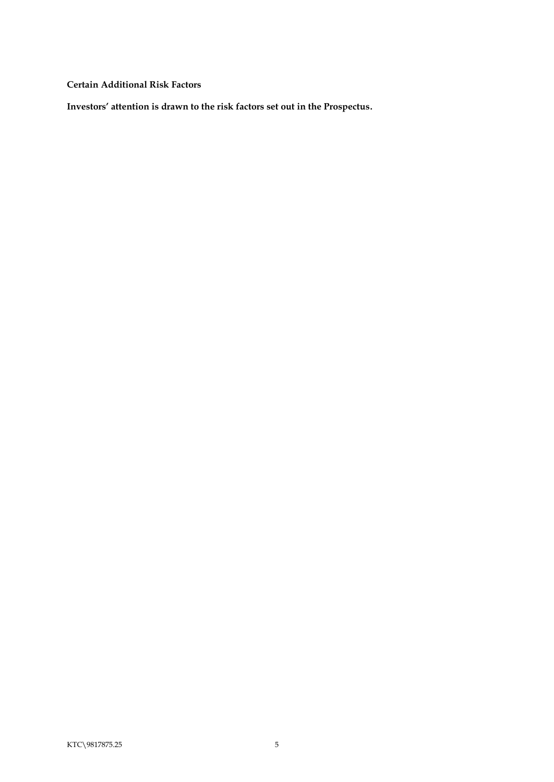<span id="page-7-0"></span>**Certain Additional Risk Factors**

**Investors' attention is drawn to the risk factors set out in the Prospectus.**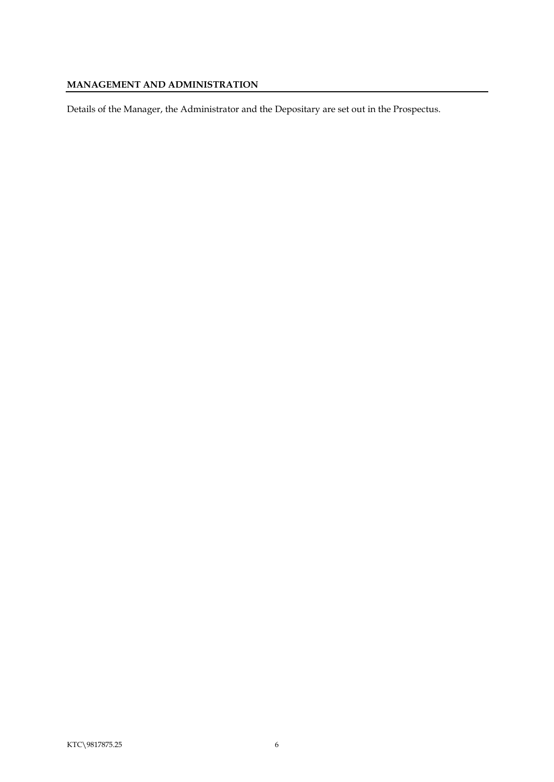## <span id="page-8-0"></span>**MANAGEMENT AND ADMINISTRATION**

Details of the Manager, the Administrator and the Depositary are set out in the Prospectus.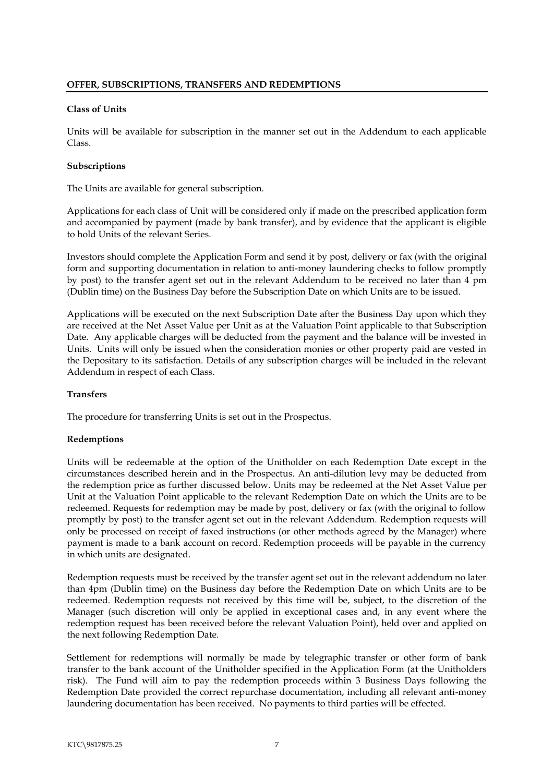#### <span id="page-9-1"></span><span id="page-9-0"></span>**Class of Units**

Units will be available for subscription in the manner set out in the Addendum to each applicable Class.

#### <span id="page-9-2"></span>**Subscriptions**

The Units are available for general subscription.

Applications for each class of Unit will be considered only if made on the prescribed application form and accompanied by payment (made by bank transfer), and by evidence that the applicant is eligible to hold Units of the relevant Series.

Investors should complete the Application Form and send it by post, delivery or fax (with the original form and supporting documentation in relation to anti-money laundering checks to follow promptly by post) to the transfer agent set out in the relevant Addendum to be received no later than 4 pm (Dublin time) on the Business Day before the Subscription Date on which Units are to be issued.

Applications will be executed on the next Subscription Date after the Business Day upon which they are received at the Net Asset Value per Unit as at the Valuation Point applicable to that Subscription Date. Any applicable charges will be deducted from the payment and the balance will be invested in Units. Units will only be issued when the consideration monies or other property paid are vested in the Depositary to its satisfaction. Details of any subscription charges will be included in the relevant Addendum in respect of each Class.

### <span id="page-9-3"></span>**Transfers**

The procedure for transferring Units is set out in the Prospectus.

## <span id="page-9-4"></span>**Redemptions**

Units will be redeemable at the option of the Unitholder on each Redemption Date except in the circumstances described herein and in the Prospectus. An anti-dilution levy may be deducted from the redemption price as further discussed below. Units may be redeemed at the Net Asset Value per Unit at the Valuation Point applicable to the relevant Redemption Date on which the Units are to be redeemed. Requests for redemption may be made by post, delivery or fax (with the original to follow promptly by post) to the transfer agent set out in the relevant Addendum. Redemption requests will only be processed on receipt of faxed instructions (or other methods agreed by the Manager) where payment is made to a bank account on record. Redemption proceeds will be payable in the currency in which units are designated.

Redemption requests must be received by the transfer agent set out in the relevant addendum no later than 4pm (Dublin time) on the Business day before the Redemption Date on which Units are to be redeemed. Redemption requests not received by this time will be, subject, to the discretion of the Manager (such discretion will only be applied in exceptional cases and, in any event where the redemption request has been received before the relevant Valuation Point), held over and applied on the next following Redemption Date.

Settlement for redemptions will normally be made by telegraphic transfer or other form of bank transfer to the bank account of the Unitholder specified in the Application Form (at the Unitholders risk). The Fund will aim to pay the redemption proceeds within 3 Business Days following the Redemption Date provided the correct repurchase documentation, including all relevant anti-money laundering documentation has been received. No payments to third parties will be effected.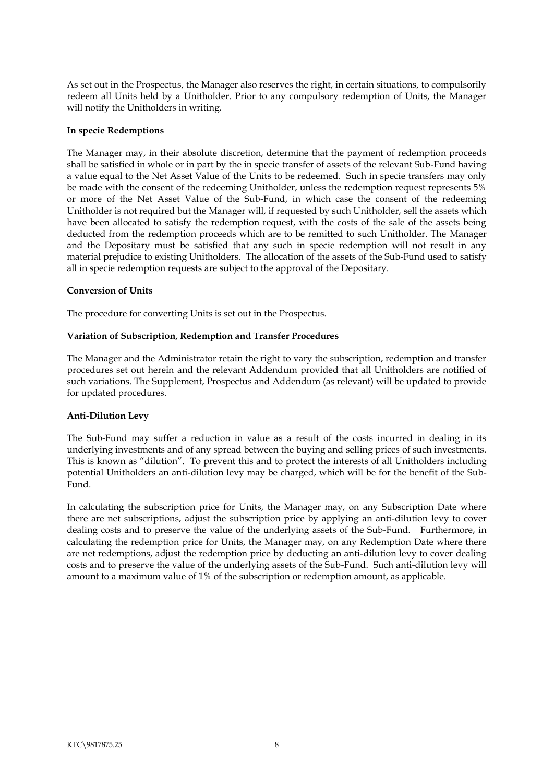As set out in the Prospectus, the Manager also reserves the right, in certain situations, to compulsorily redeem all Units held by a Unitholder. Prior to any compulsory redemption of Units, the Manager will notify the Unitholders in writing.

#### <span id="page-10-0"></span>**In specie Redemptions**

The Manager may, in their absolute discretion, determine that the payment of redemption proceeds shall be satisfied in whole or in part by the in specie transfer of assets of the relevant Sub-Fund having a value equal to the Net Asset Value of the Units to be redeemed. Such in specie transfers may only be made with the consent of the redeeming Unitholder, unless the redemption request represents 5% or more of the Net Asset Value of the Sub-Fund, in which case the consent of the redeeming Unitholder is not required but the Manager will, if requested by such Unitholder, sell the assets which have been allocated to satisfy the redemption request, with the costs of the sale of the assets being deducted from the redemption proceeds which are to be remitted to such Unitholder. The Manager and the Depositary must be satisfied that any such in specie redemption will not result in any material prejudice to existing Unitholders. The allocation of the assets of the Sub-Fund used to satisfy all in specie redemption requests are subject to the approval of the Depositary.

#### <span id="page-10-1"></span>**Conversion of Units**

The procedure for converting Units is set out in the Prospectus.

#### <span id="page-10-2"></span>**Variation of Subscription, Redemption and Transfer Procedures**

The Manager and the Administrator retain the right to vary the subscription, redemption and transfer procedures set out herein and the relevant Addendum provided that all Unitholders are notified of such variations. The Supplement, Prospectus and Addendum (as relevant) will be updated to provide for updated procedures.

## <span id="page-10-3"></span>**Anti-Dilution Levy**

The Sub-Fund may suffer a reduction in value as a result of the costs incurred in dealing in its underlying investments and of any spread between the buying and selling prices of such investments. This is known as "dilution". To prevent this and to protect the interests of all Unitholders including potential Unitholders an anti-dilution levy may be charged, which will be for the benefit of the Sub-Fund.

In calculating the subscription price for Units, the Manager may, on any Subscription Date where there are net subscriptions, adjust the subscription price by applying an anti-dilution levy to cover dealing costs and to preserve the value of the underlying assets of the Sub-Fund. Furthermore, in calculating the redemption price for Units, the Manager may, on any Redemption Date where there are net redemptions, adjust the redemption price by deducting an anti-dilution levy to cover dealing costs and to preserve the value of the underlying assets of the Sub-Fund. Such anti-dilution levy will amount to a maximum value of 1% of the subscription or redemption amount, as applicable.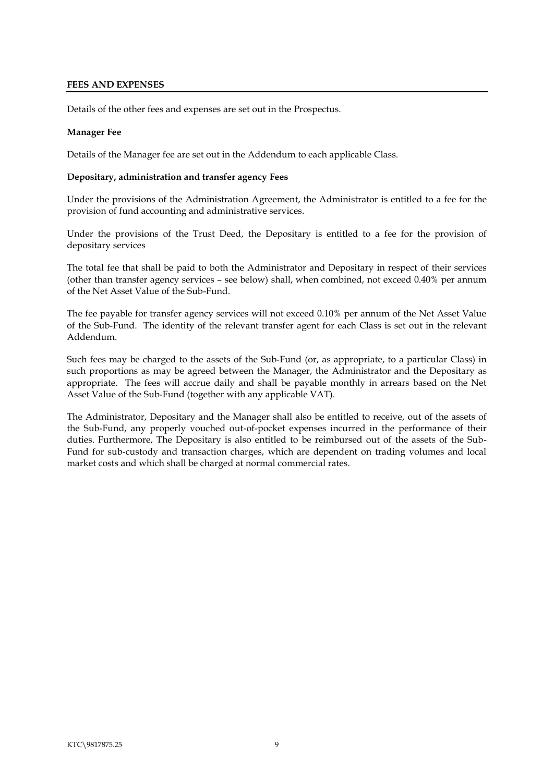#### <span id="page-11-0"></span>**FEES AND EXPENSES**

Details of the other fees and expenses are set out in the Prospectus.

#### **Manager Fee**

Details of the Manager fee are set out in the Addendum to each applicable Class.

#### <span id="page-11-1"></span>**Depositary, administration and transfer agency Fees**

Under the provisions of the Administration Agreement, the Administrator is entitled to a fee for the provision of fund accounting and administrative services.

Under the provisions of the Trust Deed, the Depositary is entitled to a fee for the provision of depositary services

The total fee that shall be paid to both the Administrator and Depositary in respect of their services (other than transfer agency services – see below) shall, when combined, not exceed 0.40% per annum of the Net Asset Value of the Sub-Fund.

The fee payable for transfer agency services will not exceed 0.10% per annum of the Net Asset Value of the Sub-Fund. The identity of the relevant transfer agent for each Class is set out in the relevant Addendum.

Such fees may be charged to the assets of the Sub-Fund (or, as appropriate, to a particular Class) in such proportions as may be agreed between the Manager, the Administrator and the Depositary as appropriate. The fees will accrue daily and shall be payable monthly in arrears based on the Net Asset Value of the Sub-Fund (together with any applicable VAT).

The Administrator, Depositary and the Manager shall also be entitled to receive, out of the assets of the Sub-Fund, any properly vouched out-of-pocket expenses incurred in the performance of their duties. Furthermore, The Depositary is also entitled to be reimbursed out of the assets of the Sub-Fund for sub-custody and transaction charges, which are dependent on trading volumes and local market costs and which shall be charged at normal commercial rates.